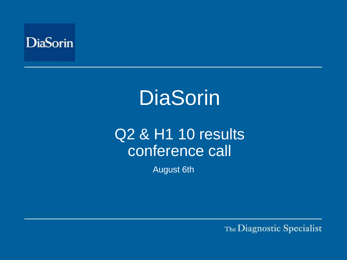

# Q<sub>2</sub> & H<sub>1</sub> 10 results conference call

August 6th

The Diagnostic Specialist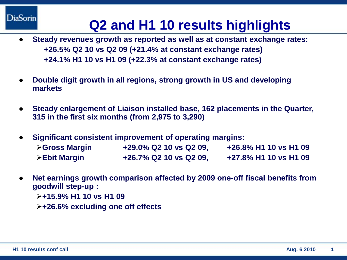# **Q2 and H1 10 results highlights**

- **Steady revenues growth as reported as well as at constant exchange rates: +26.5% Q2 10 vs Q2 09 (+21.4% at constant exchange rates) +24.1% H1 10 vs H1 09 (+22.3% at constant exchange rates)**
- **Double digit growth in all regions, strong growth in US and developing markets**
- **Steady enlargement of Liaison installed base, 162 placements in the Quarter, 315 in the first six months (from 2,975 to 3,290)**
- **Significant consistent improvement of operating margins: Gross Margin +29.0% Q2 10 vs Q2 09, +26.8% H1 10 vs H1 09 Ebit Margin +26.7% Q2 10 vs Q2 09, +27.8% H1 10 vs H1 09**
- **Net earnings growth comparison affected by 2009 one-off fiscal benefits from goodwill step-up :** 
	- **+15.9% H1 10 vs H1 09**
	- **+26.6% excluding one off effects**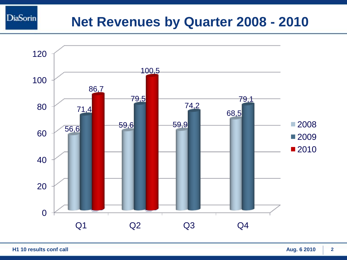### **Net Revenues by Quarter 2008 - 2010**



**DiaSorin**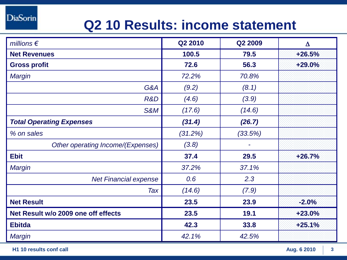# **Q2 10 Results: income statement**

| millions $\epsilon$                 | Q2 2010 | Q2 2009 | $\Delta$ |
|-------------------------------------|---------|---------|----------|
| <b>Net Revenues</b>                 | 100.5   | 79.5    | $+26.5%$ |
| <b>Gross profit</b>                 | 72.6    | 56.3    | $+29.0%$ |
| Margin                              | 72.2%   | 70.8%   |          |
| G&A                                 | (9.2)   | (8.1)   |          |
| R&D                                 | (4.6)   | (3.9)   |          |
| <b>S&amp;M</b>                      | (17.6)  | (14.6)  |          |
| <b>Total Operating Expenses</b>     | (31.4)  | (26.7)  |          |
| % on sales                          | (31.2%) | (33.5%) |          |
| Other operating Income/(Expenses)   | (3.8)   |         |          |
| <b>Ebit</b>                         | 37.4    | 29.5    | $+26.7%$ |
| Margin                              | 37.2%   | 37.1%   |          |
| <b>Net Financial expense</b>        | 0.6     | 2.3     |          |
| Tax                                 | (14.6)  | (7.9)   |          |
| <b>Net Result</b>                   | 23.5    | 23.9    | $-2.0%$  |
| Net Result w/o 2009 one off effects | 23.5    | 19.1    | $+23.0%$ |
| <b>Ebitda</b>                       | 42.3    | 33.8    | $+25.1%$ |
| Margin                              | 42.1%   | 42.5%   |          |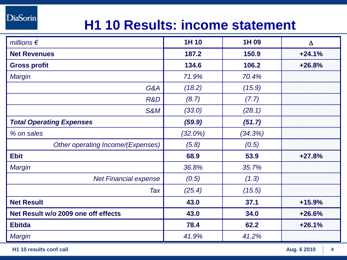# **H1 10 Results: income statement**

| millions $\epsilon$                 | 1H 10      | 1H 09   | $\Delta$ |
|-------------------------------------|------------|---------|----------|
| <b>Net Revenues</b>                 | 187.2      | 150.9   | $+24.1%$ |
| <b>Gross profit</b>                 | 134.6      | 106.2   | $+26.8%$ |
| <b>Margin</b>                       | 71.9%      | 70.4%   |          |
| G&A                                 | (18.2)     | (15.9)  |          |
| R&D                                 | (8.7)      | (7.7)   |          |
| <b>S&amp;M</b>                      | (33.0)     | (28.1)  |          |
| <b>Total Operating Expenses</b>     | (59.9)     | (51.7)  |          |
| % on sales                          | $(32.0\%)$ | (34.3%) |          |
| Other operating Income/(Expenses)   | (5.8)      | (0.5)   |          |
| <b>Ebit</b>                         | 68.9       | 53.9    | $+27.8%$ |
| <b>Margin</b>                       | 36.8%      | 35.7%   |          |
| <b>Net Financial expense</b>        | (0.5)      | (1.3)   |          |
| Tax                                 | (25.4)     | (15.5)  |          |
| <b>Net Result</b>                   | 43.0       | 37.1    | $+15.9%$ |
| Net Result w/o 2009 one off effects | 43.0       | 34.0    | $+26.6%$ |
| <b>Ebitda</b>                       | 78.4       | 62.2    | $+26.1%$ |
| Margin                              | 41.9%      | 41.2%   |          |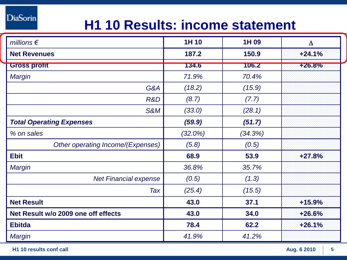# **H1 10 Results: income statement**

| millions $\epsilon$                 | 1H 10      | 1H 09   | $\Delta$      |
|-------------------------------------|------------|---------|---------------|
| <b>Net Revenues</b>                 | 187.2      | 150.9   | $+24.1%$      |
| <b>Gross profit</b>                 | 134.6      | 106.2   | <b>+26.8%</b> |
| Margin                              | 71.9%      | 70.4%   |               |
| G&A                                 | (18.2)     | (15.9)  |               |
| R&D                                 | (8.7)      | (7.7)   |               |
| <b>S&amp;M</b>                      | (33.0)     | (28.1)  |               |
| <b>Total Operating Expenses</b>     | (59.9)     | (51.7)  |               |
| % on sales                          | $(32.0\%)$ | (34.3%) |               |
| Other operating Income/(Expenses)   | (5.8)      | (0.5)   |               |
| <b>Ebit</b>                         | 68.9       | 53.9    | $+27.8%$      |
| Margin                              | 36.8%      | 35.7%   |               |
| <b>Net Financial expense</b>        | (0.5)      | (1.3)   |               |
| Tax                                 | (25.4)     | (15.5)  |               |
| <b>Net Result</b>                   | 43.0       | 37.1    | $+15.9%$      |
| Net Result w/o 2009 one off effects | 43.0       | 34.0    | $+26.6%$      |
| <b>Ebitda</b>                       | 78.4       | 62.2    | $+26.1%$      |
| <b>Margin</b>                       | 41.9%      | 41.2%   |               |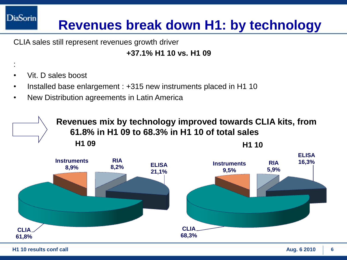# **Revenues break down H1: by technology**

CLIA sales still represent revenues growth driver

#### **+37.1% H1 10 vs. H1 09**

• Vit. D sales boost

:

**DiaSorin** 

- Installed base enlargement : +315 new instruments placed in H1 10
- New Distribution agreements in Latin America

**H1 09 H1 10 Revenues mix by technology improved towards CLIA kits, from 61.8% in H1 09 to 68.3% in H1 10 of total sales** 

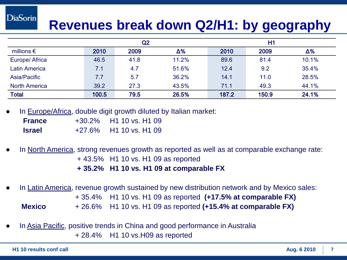# **Revenues break down Q2/H1: by geography**

|                      | Q2    |      | H1         |       |       |            |
|----------------------|-------|------|------------|-------|-------|------------|
| millions $\epsilon$  | 2010  | 2009 | $\Delta\%$ | 2010  | 2009  | $\Delta\%$ |
| Europe/ Africa       | 46.5  | 41.8 | 11.2%      | 89.6  | 81.4  | 10.1%      |
| <b>Latin America</b> | 7.1   | 4.7  | 51.6%      | 12.4  | 9.2   | 35.4%      |
| Asia/Pacific         | 7.7   | 5.7  | 36.2%      | 14.1  | 11.0  | 28.5%      |
| <b>North America</b> | 39.2  | 27.3 | 43.5%      | 71.1  | 49.3  | 44.1%      |
| <b>Total</b>         | 100.5 | 79.5 | 26.5%      | 187.2 | 150.9 | 24.1%      |

In Europe/Africa, double digit growth diluted by Italian market:

| <b>France</b> | $+30.2\%$ | H1 10 vs. H1 09                         |
|---------------|-----------|-----------------------------------------|
| <b>Israel</b> | $+27.6\%$ | H <sub>1</sub> 10 vs. H <sub>1</sub> 09 |

- In North America, strong revenues growth as reported as well as at comparable exchange rate: + 43.5% H1 10 vs. H1 09 as reported **+ 35.2% H1 10 vs. H1 09 at comparable FX**
- In Latin America, revenue growth sustained by new distribution network and by Mexico sales: + 35.4% H1 10 vs. H1 09 as reported **(+17.5% at comparable FX) Mexico** + 26.6% H1 10 vs. H1 09 as reported **(+15.4% at comparable FX)**
- In Asia Pacific, positive trends in China and good performance in Australia + 28.4% H1 10 vs.H09 as reported

**DiaSorin**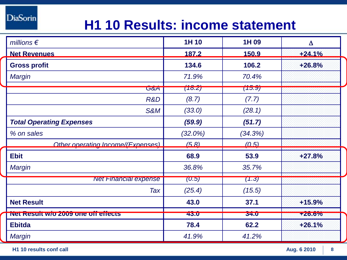# **H1 10 Results: income statement**

| millions $\epsilon$                 | 1H 10      | 1H 09       | $\Delta$  |  |
|-------------------------------------|------------|-------------|-----------|--|
| <b>Net Revenues</b>                 | 187.2      | 150.9       | $+24.1%$  |  |
| <b>Gross profit</b>                 | 134.6      | 106.2       | $+26.8%$  |  |
| Margin                              | 71.9%      | 70.4%       |           |  |
| G&A                                 | (18.2)     | (15.9)      |           |  |
| R&D                                 | (8.7)      | (7.7)       |           |  |
| <b>S&amp;M</b>                      | (33.0)     | (28.1)      |           |  |
| <b>Total Operating Expenses</b>     | (59.9)     | (51.7)      |           |  |
| % on sales                          | $(32.0\%)$ | (34.3%)     |           |  |
| Other operating Income/(Expenses)   | (5.8)      | (0.5)       |           |  |
| <b>Ebit</b>                         | 68.9       | 53.9        | $+27.8%$  |  |
| <b>Margin</b>                       | 36.8%      | 35.7%       |           |  |
| <b>Net Financial expense</b>        | (U.5)      | (1.3)       |           |  |
| Tax                                 | (25.4)     | (15.5)      |           |  |
| <b>Net Result</b>                   | 43.0       | 37.1        | +15.9%    |  |
| Net Result w/o 2009 one off effects | 43.0       | <b>34.0</b> | $+20.070$ |  |
| <b>Ebitda</b>                       | 78.4       | 62.2        | $+26.1%$  |  |
| Margin                              | 41.9%      | 41.2%       |           |  |

**H1 10 results conf call 8**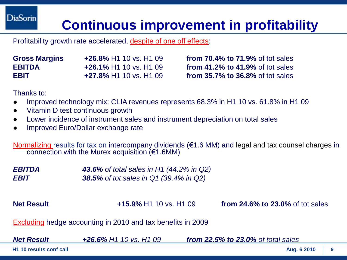# **Continuous improvement in profitability**

Profitability growth rate accelerated, despite of one off effects:

| <b>Gross Margins</b> | +26.8% H1 10 vs. H1 09        |
|----------------------|-------------------------------|
| <b>EBITDA</b>        | <b>+26.1% H1 10 vs. H1 09</b> |
| <b>EBIT</b>          | <b>+27.8% H1 10 vs. H1 09</b> |

**from 70.4% to 71.9% of tot sales from 41.2% to 41.9% of tot sales from 35.7% to 36.8%** of tot sales

Thanks to:

- Improved technology mix: CLIA revenues represents 68.3% in H1 10 vs. 61.8% in H1 09
- Vitamin D test continuous growth
- Lower incidence of instrument sales and instrument depreciation on total sales
- Improved Euro/Dollar exchange rate

Normalizing results for tax on intercompany dividends (€1.6 MM) and legal and tax counsel charges in connection with the Murex acquisition  $(E1.6MM)$ 

*EBITDA 43.6% of total sales in H1 (44.2% in Q2) EBIT 38.5% of tot sales in Q1 (39.4% in Q2)*

**Net Result +15.9%** H1 10 vs. H1 09 **from 24.6% to 23.0%** of tot sales

Excluding hedge accounting in 2010 and tax benefits in 2009

*Net Result +26.6% H1 10 vs. H1 09 from 22.5% to 23.0% of total sales*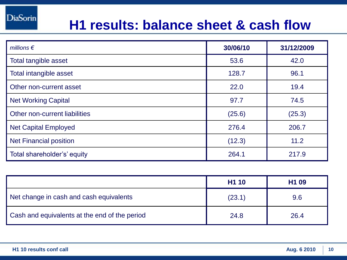### **H1 results: balance sheet & cash flow**

| millions $\epsilon$           | 30/06/10 | 31/12/2009 |
|-------------------------------|----------|------------|
| Total tangible asset          | 53.6     | 42.0       |
| Total intangible asset        | 128.7    | 96.1       |
| Other non-current asset       | 22.0     | 19.4       |
| <b>Net Working Capital</b>    | 97.7     | 74.5       |
| Other non-current liabilities | (25.6)   | (25.3)     |
| <b>Net Capital Employed</b>   | 276.4    | 206.7      |
| <b>Net Financial position</b> | (12.3)   | 11.2       |
| Total shareholder's' equity   | 264.1    | 217.9      |

|                                               | H <sub>1</sub> 10 | H <sub>1</sub> 09 |
|-----------------------------------------------|-------------------|-------------------|
| Net change in cash and cash equivalents       | (23.1)            | 9.6               |
| Cash and equivalents at the end of the period | 24.8              | 26.4              |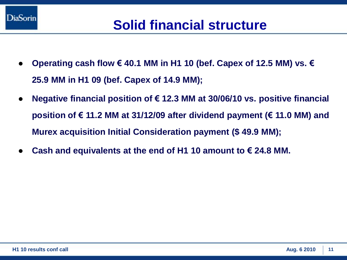

- **Operating cash flow € 40.1 MM in H1 10 (bef. Capex of 12.5 MM) vs. € 25.9 MM in H1 09 (bef. Capex of 14.9 MM);**
- **Negative financial position of € 12.3 MM at 30/06/10 vs. positive financial position of € 11.2 MM at 31/12/09 after dividend payment (€ 11.0 MM) and Murex acquisition Initial Consideration payment (\$ 49.9 MM);**
- Cash and equivalents at the end of H1 10 amount to  $€$  24.8 MM.